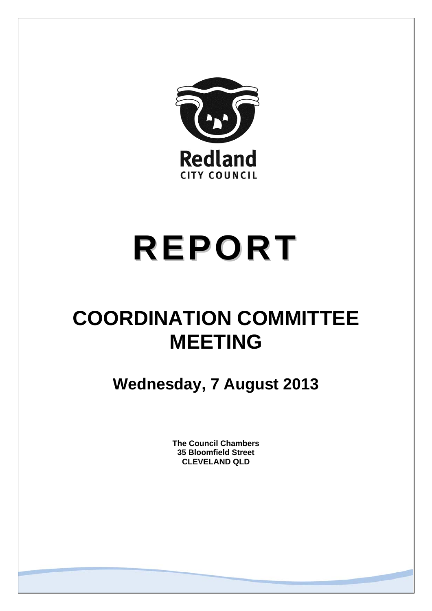

# **REPORT**

## **COORDINATION COMMITTEE MEETING**

**Wednesday, 7 August 2013** 

**The Council Chambers 35 Bloomfield Street CLEVELAND QLD**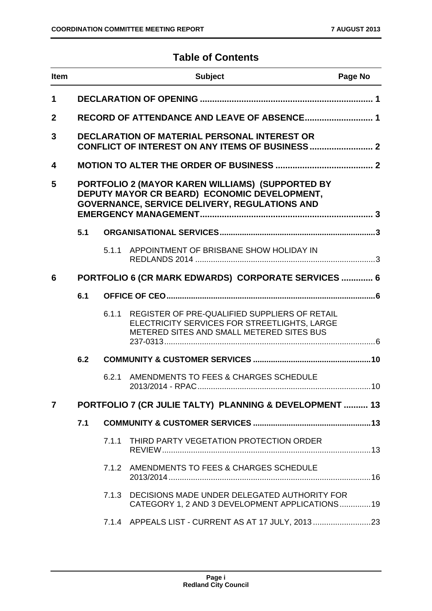#### **Table of Contents**

| <b>Item</b>  | <b>Subject</b><br>Page No                                                                                                                                |                                                     |                                                                                                                                            |  |
|--------------|----------------------------------------------------------------------------------------------------------------------------------------------------------|-----------------------------------------------------|--------------------------------------------------------------------------------------------------------------------------------------------|--|
| $\mathbf 1$  |                                                                                                                                                          |                                                     |                                                                                                                                            |  |
| $\mathbf{2}$ |                                                                                                                                                          |                                                     |                                                                                                                                            |  |
| 3            |                                                                                                                                                          |                                                     | <b>DECLARATION OF MATERIAL PERSONAL INTEREST OR</b>                                                                                        |  |
| 4            |                                                                                                                                                          |                                                     |                                                                                                                                            |  |
| 5            | PORTFOLIO 2 (MAYOR KAREN WILLIAMS) (SUPPORTED BY<br>DEPUTY MAYOR CR BEARD) ECONOMIC DEVELOPMENT,<br><b>GOVERNANCE, SERVICE DELIVERY, REGULATIONS AND</b> |                                                     |                                                                                                                                            |  |
|              | 5.1                                                                                                                                                      |                                                     |                                                                                                                                            |  |
|              |                                                                                                                                                          | 5.1.1                                               | APPOINTMENT OF BRISBANE SHOW HOLIDAY IN                                                                                                    |  |
| 6            |                                                                                                                                                          | PORTFOLIO 6 (CR MARK EDWARDS) CORPORATE SERVICES  6 |                                                                                                                                            |  |
| 6.1          |                                                                                                                                                          |                                                     |                                                                                                                                            |  |
|              |                                                                                                                                                          | 6.1.1                                               | REGISTER OF PRE-QUALIFIED SUPPLIERS OF RETAIL<br>ELECTRICITY SERVICES FOR STREETLIGHTS, LARGE<br>METERED SITES AND SMALL METERED SITES BUS |  |
|              | 6.2                                                                                                                                                      |                                                     |                                                                                                                                            |  |
|              |                                                                                                                                                          | 6.2.1                                               | AMENDMENTS TO FEES & CHARGES SCHEDULE                                                                                                      |  |
| 7            |                                                                                                                                                          |                                                     | PORTFOLIO 7 (CR JULIE TALTY) PLANNING & DEVELOPMENT  13                                                                                    |  |
|              | 7.1                                                                                                                                                      |                                                     |                                                                                                                                            |  |
|              |                                                                                                                                                          | 7.1.1                                               | THIRD PARTY VEGETATION PROTECTION ORDER                                                                                                    |  |
|              |                                                                                                                                                          |                                                     | 7.1.2 AMENDMENTS TO FEES & CHARGES SCHEDULE                                                                                                |  |
|              |                                                                                                                                                          | 7.1.3                                               | DECISIONS MADE UNDER DELEGATED AUTHORITY FOR<br>CATEGORY 1, 2 AND 3 DEVELOPMENT APPLICATIONS19                                             |  |
|              |                                                                                                                                                          |                                                     | 7.1.4 APPEALS LIST - CURRENT AS AT 17 JULY, 2013                                                                                           |  |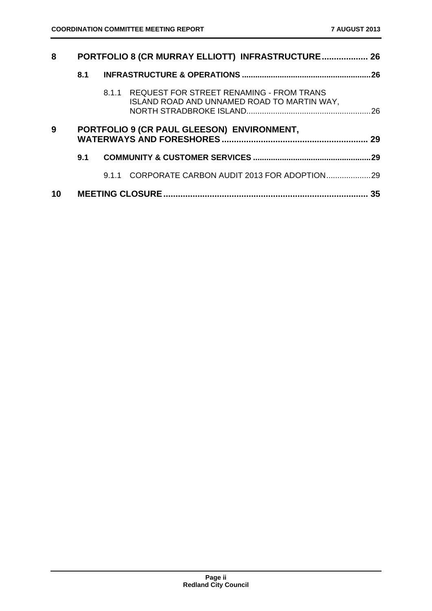| 8  | PORTFOLIO 8 (CR MURRAY ELLIOTT) INFRASTRUCTURE 26 |      |                                                                                               |     |
|----|---------------------------------------------------|------|-----------------------------------------------------------------------------------------------|-----|
|    | 8.1                                               |      |                                                                                               |     |
|    |                                                   |      | 8.1.1 REQUEST FOR STREET RENAMING - FROM TRANS<br>ISLAND ROAD AND UNNAMED ROAD TO MARTIN WAY, |     |
| 9  | PORTFOLIO 9 (CR PAUL GLEESON) ENVIRONMENT,        |      |                                                                                               |     |
|    | 9.1                                               |      |                                                                                               | .29 |
|    |                                                   | 9.11 |                                                                                               |     |
| 10 |                                                   |      |                                                                                               | 35  |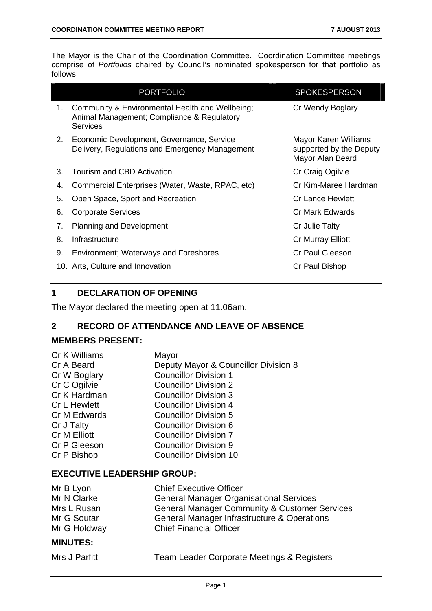The Mayor is the Chair of the Coordination Committee. Coordination Committee meetings comprise of *Portfolios* chaired by Council's nominated spokesperson for that portfolio as follows:

| <b>PORTFOLIO</b>                                                                                                | <b>SPOKESPERSON</b>                                                 |
|-----------------------------------------------------------------------------------------------------------------|---------------------------------------------------------------------|
| Community & Environmental Health and Wellbeing;<br>1.<br>Animal Management; Compliance & Regulatory<br>Services | Cr Wendy Boglary                                                    |
| Economic Development, Governance, Service<br>2.<br>Delivery, Regulations and Emergency Management               | Mayor Karen Williams<br>supported by the Deputy<br>Mayor Alan Beard |
| Tourism and CBD Activation<br>3.                                                                                | Cr Craig Ogilvie                                                    |
| Commercial Enterprises (Water, Waste, RPAC, etc)<br>4.                                                          | Cr Kim-Maree Hardman                                                |
| 5.<br>Open Space, Sport and Recreation                                                                          | Cr Lance Hewlett                                                    |
| <b>Corporate Services</b><br>6.                                                                                 | Cr Mark Edwards                                                     |
| <b>Planning and Development</b><br>7.                                                                           | Cr Julie Talty                                                      |
| 8.<br>Infrastructure                                                                                            | Cr Murray Elliott                                                   |
| 9.<br><b>Environment; Waterways and Foreshores</b>                                                              | Cr Paul Gleeson                                                     |
| 10. Arts, Culture and Innovation                                                                                | Cr Paul Bishop                                                      |

#### **1 DECLARATION OF OPENING**

The Mayor declared the meeting open at 11.06am.

#### **2 RECORD OF ATTENDANCE AND LEAVE OF ABSENCE**

#### **MEMBERS PRESENT:**

| Mayor                                |
|--------------------------------------|
| Deputy Mayor & Councillor Division 8 |
| <b>Councillor Division 1</b>         |
| <b>Councillor Division 2</b>         |
| <b>Councillor Division 3</b>         |
| <b>Councillor Division 4</b>         |
| <b>Councillor Division 5</b>         |
| <b>Councillor Division 6</b>         |
| <b>Councillor Division 7</b>         |
| <b>Councillor Division 9</b>         |
| <b>Councillor Division 10</b>        |
|                                      |

#### **EXECUTIVE LEADERSHIP GROUP:**

| Mr B Lyon       | <b>Chief Executive Officer</b>                           |
|-----------------|----------------------------------------------------------|
| Mr N Clarke     | <b>General Manager Organisational Services</b>           |
| Mrs L Rusan     | <b>General Manager Community &amp; Customer Services</b> |
| Mr G Soutar     | General Manager Infrastructure & Operations              |
| Mr G Holdway    | <b>Chief Financial Officer</b>                           |
| <b>MINUTES:</b> |                                                          |

Team Leader Corporate Meetings & Registers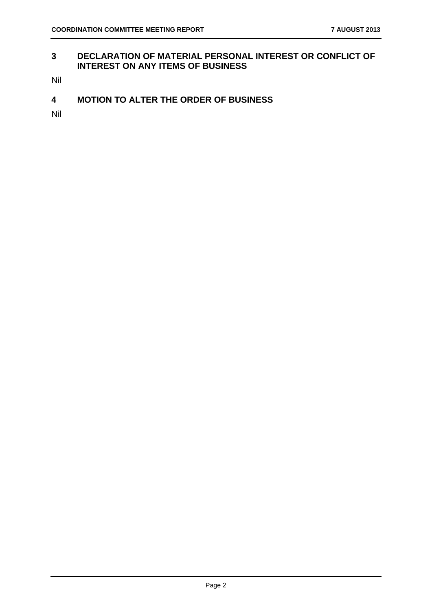#### **3 DECLARATION OF MATERIAL PERSONAL INTEREST OR CONFLICT OF INTEREST ON ANY ITEMS OF BUSINESS**

Nil

**4 MOTION TO ALTER THE ORDER OF BUSINESS** 

Nil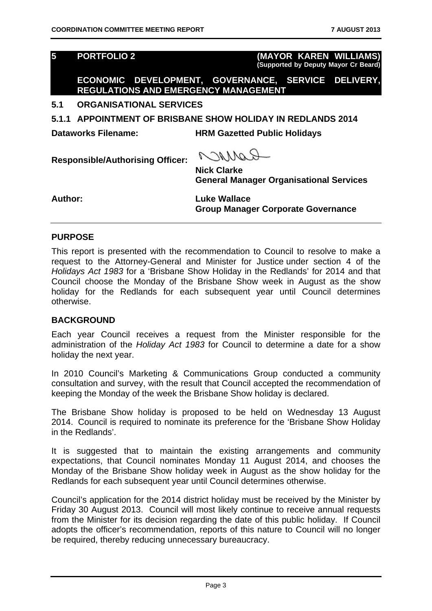**5 PORTFOLIO 2 (MAYOR KAREN WILLIAMS) (Supported by Deputy Mayor Cr Beard)**

**ECONOMIC DEVELOPMENT, GOVERNANCE, SERVICE DELIVERY, REGULATIONS AND EMERGENCY MANAGEMENT** 

#### **5.1 ORGANISATIONAL SERVICES**

**5.1.1 APPOINTMENT OF BRISBANE SHOW HOLIDAY IN REDLANDS 2014** 

**Dataworks Filename: HRM Gazetted Public Holidays** 

**Responsible/Authorising Officer:** 

ROMACO

**Nick Clarke General Manager Organisational Services** 

**Author: Luke Wallace Group Manager Corporate Governance** 

#### **PURPOSE**

This report is presented with the recommendation to Council to resolve to make a request to the Attorney-General and Minister for Justice under section 4 of the *Holidays Act 1983* for a 'Brisbane Show Holiday in the Redlands' for 2014 and that Council choose the Monday of the Brisbane Show week in August as the show holiday for the Redlands for each subsequent year until Council determines otherwise.

#### **BACKGROUND**

Each year Council receives a request from the Minister responsible for the administration of the *Holiday Act 1983* for Council to determine a date for a show holiday the next year.

In 2010 Council's Marketing & Communications Group conducted a community consultation and survey, with the result that Council accepted the recommendation of keeping the Monday of the week the Brisbane Show holiday is declared.

The Brisbane Show holiday is proposed to be held on Wednesday 13 August 2014. Council is required to nominate its preference for the 'Brisbane Show Holiday in the Redlands'.

It is suggested that to maintain the existing arrangements and community expectations, that Council nominates Monday 11 August 2014, and chooses the Monday of the Brisbane Show holiday week in August as the show holiday for the Redlands for each subsequent year until Council determines otherwise.

Council's application for the 2014 district holiday must be received by the Minister by Friday 30 August 2013. Council will most likely continue to receive annual requests from the Minister for its decision regarding the date of this public holiday. If Council adopts the officer's recommendation, reports of this nature to Council will no longer be required, thereby reducing unnecessary bureaucracy.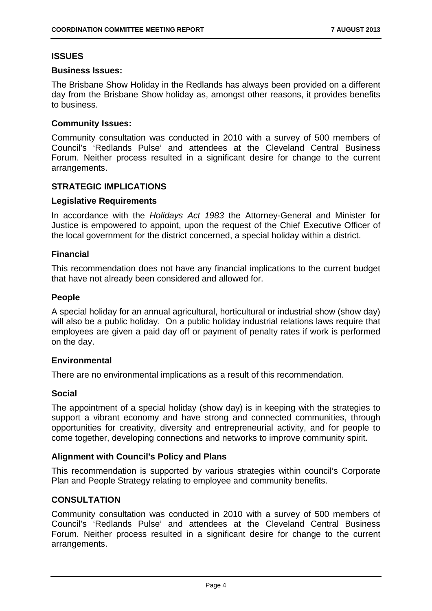#### **ISSUES**

#### **Business Issues:**

The Brisbane Show Holiday in the Redlands has always been provided on a different day from the Brisbane Show holiday as, amongst other reasons, it provides benefits to business.

#### **Community Issues:**

Community consultation was conducted in 2010 with a survey of 500 members of Council's 'Redlands Pulse' and attendees at the Cleveland Central Business Forum. Neither process resulted in a significant desire for change to the current arrangements.

#### **STRATEGIC IMPLICATIONS**

#### **Legislative Requirements**

In accordance with the *Holidays Act 1983* the Attorney-General and Minister for Justice is empowered to appoint, upon the request of the Chief Executive Officer of the local government for the district concerned, a special holiday within a district.

#### **Financial**

This recommendation does not have any financial implications to the current budget that have not already been considered and allowed for.

#### **People**

A special holiday for an annual agricultural, horticultural or industrial show (show day) will also be a public holiday. On a public holiday industrial relations laws require that employees are given a paid day off or payment of penalty rates if work is performed on the day.

#### **Environmental**

There are no environmental implications as a result of this recommendation.

#### **Social**

The appointment of a special holiday (show day) is in keeping with the strategies to support a vibrant economy and have strong and connected communities, through opportunities for creativity, diversity and entrepreneurial activity, and for people to come together, developing connections and networks to improve community spirit.

#### **Alignment with Council's Policy and Plans**

This recommendation is supported by various strategies within council's Corporate Plan and People Strategy relating to employee and community benefits.

#### **CONSULTATION**

Community consultation was conducted in 2010 with a survey of 500 members of Council's 'Redlands Pulse' and attendees at the Cleveland Central Business Forum. Neither process resulted in a significant desire for change to the current arrangements.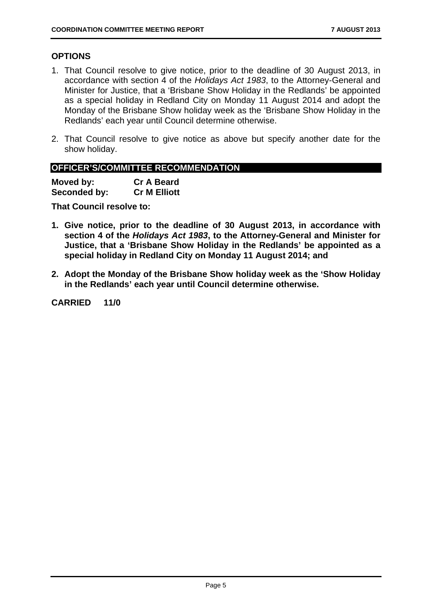#### **OPTIONS**

- 1. That Council resolve to give notice, prior to the deadline of 30 August 2013, in accordance with section 4 of the *Holidays Act 1983*, to the Attorney-General and Minister for Justice, that a 'Brisbane Show Holiday in the Redlands' be appointed as a special holiday in Redland City on Monday 11 August 2014 and adopt the Monday of the Brisbane Show holiday week as the 'Brisbane Show Holiday in the Redlands' each year until Council determine otherwise.
- 2. That Council resolve to give notice as above but specify another date for the show holiday.

#### **OFFICER'S/COMMITTEE RECOMMENDATION**

**Moved by: Cr A Beard Seconded by: Cr M Elliott** 

**That Council resolve to:** 

- **1. Give notice, prior to the deadline of 30 August 2013, in accordance with section 4 of the** *Holidays Act 1983***, to the Attorney-General and Minister for Justice, that a 'Brisbane Show Holiday in the Redlands' be appointed as a special holiday in Redland City on Monday 11 August 2014; and**
- **2. Adopt the Monday of the Brisbane Show holiday week as the 'Show Holiday in the Redlands' each year until Council determine otherwise.**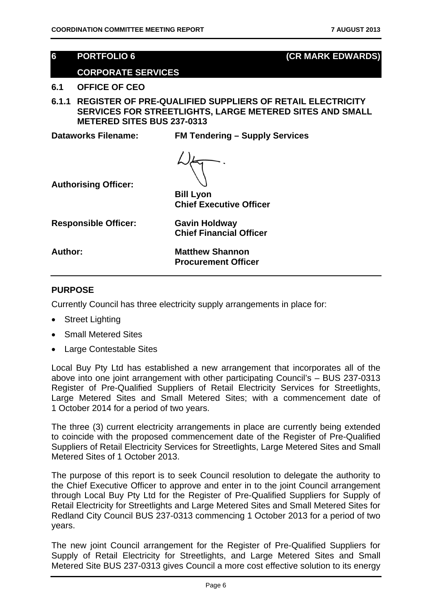#### **6 PORTFOLIO 6 (CR MARK EDWARDS)**

#### **CORPORATE SERVICES**

#### **6.1 OFFICE OF CEO**

**6.1.1 REGISTER OF PRE-QUALIFIED SUPPLIERS OF RETAIL ELECTRICITY SERVICES FOR STREETLIGHTS, LARGE METERED SITES AND SMALL METERED SITES BUS 237-0313** 

**Dataworks Filename: FM Tendering – Supply Services** 



**Authorising Officer:** 

**Bill Lyon Chief Executive Officer** 

**Responsible Officer: Gavin Holdway** 

**Chief Financial Officer** 

**Author: Matthew Shannon Procurement Officer** 

#### **PURPOSE**

Currently Council has three electricity supply arrangements in place for:

- Street Lighting
- Small Metered Sites
- Large Contestable Sites

Local Buy Pty Ltd has established a new arrangement that incorporates all of the above into one joint arrangement with other participating Council's – BUS 237-0313 Register of Pre-Qualified Suppliers of Retail Electricity Services for Streetlights, Large Metered Sites and Small Metered Sites; with a commencement date of 1 October 2014 for a period of two years.

The three (3) current electricity arrangements in place are currently being extended to coincide with the proposed commencement date of the Register of Pre-Qualified Suppliers of Retail Electricity Services for Streetlights, Large Metered Sites and Small Metered Sites of 1 October 2013.

The purpose of this report is to seek Council resolution to delegate the authority to the Chief Executive Officer to approve and enter in to the joint Council arrangement through Local Buy Pty Ltd for the Register of Pre-Qualified Suppliers for Supply of Retail Electricity for Streetlights and Large Metered Sites and Small Metered Sites for Redland City Council BUS 237-0313 commencing 1 October 2013 for a period of two years.

The new joint Council arrangement for the Register of Pre-Qualified Suppliers for Supply of Retail Electricity for Streetlights, and Large Metered Sites and Small Metered Site BUS 237-0313 gives Council a more cost effective solution to its energy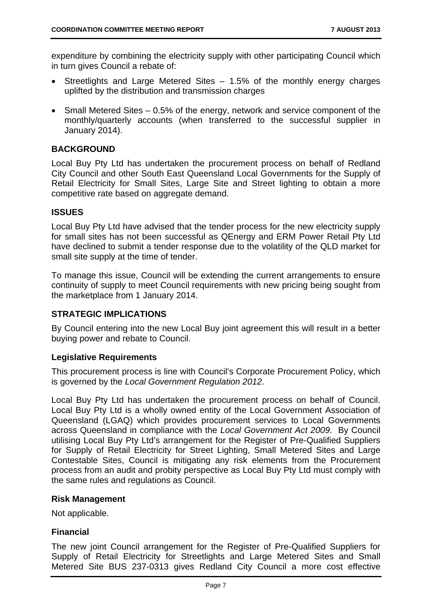expenditure by combining the electricity supply with other participating Council which in turn gives Council a rebate of:

- Streetlights and Large Metered Sites 1.5% of the monthly energy charges uplifted by the distribution and transmission charges
- Small Metered Sites 0.5% of the energy, network and service component of the monthly/quarterly accounts (when transferred to the successful supplier in January 2014).

#### **BACKGROUND**

Local Buy Pty Ltd has undertaken the procurement process on behalf of Redland City Council and other South East Queensland Local Governments for the Supply of Retail Electricity for Small Sites, Large Site and Street lighting to obtain a more competitive rate based on aggregate demand.

#### **ISSUES**

Local Buy Pty Ltd have advised that the tender process for the new electricity supply for small sites has not been successful as QEnergy and ERM Power Retail Pty Ltd have declined to submit a tender response due to the volatility of the QLD market for small site supply at the time of tender.

To manage this issue, Council will be extending the current arrangements to ensure continuity of supply to meet Council requirements with new pricing being sought from the marketplace from 1 January 2014.

#### **STRATEGIC IMPLICATIONS**

By Council entering into the new Local Buy joint agreement this will result in a better buying power and rebate to Council.

#### **Legislative Requirements**

This procurement process is line with Council's Corporate Procurement Policy, which is governed by the *Local Government Regulation 2012*.

Local Buy Pty Ltd has undertaken the procurement process on behalf of Council. Local Buy Pty Ltd is a wholly owned entity of the Local Government Association of Queensland (LGAQ) which provides procurement services to Local Governments across Queensland in compliance with the *Local Government Act 2009*. By Council utilising Local Buy Pty Ltd's arrangement for the Register of Pre-Qualified Suppliers for Supply of Retail Electricity for Street Lighting, Small Metered Sites and Large Contestable Sites, Council is mitigating any risk elements from the Procurement process from an audit and probity perspective as Local Buy Pty Ltd must comply with the same rules and regulations as Council.

#### **Risk Management**

Not applicable.

#### **Financial**

The new joint Council arrangement for the Register of Pre-Qualified Suppliers for Supply of Retail Electricity for Streetlights and Large Metered Sites and Small Metered Site BUS 237-0313 gives Redland City Council a more cost effective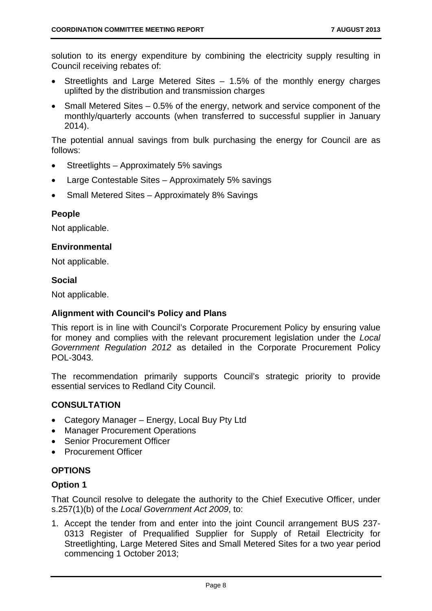solution to its energy expenditure by combining the electricity supply resulting in Council receiving rebates of:

- Streetlights and Large Metered Sites 1.5% of the monthly energy charges uplifted by the distribution and transmission charges
- Small Metered Sites 0.5% of the energy, network and service component of the monthly/quarterly accounts (when transferred to successful supplier in January 2014).

The potential annual savings from bulk purchasing the energy for Council are as follows:

- Streetlights Approximately 5% savings
- Large Contestable Sites Approximately 5% savings
- Small Metered Sites Approximately 8% Savings

#### **People**

Not applicable.

#### **Environmental**

Not applicable.

#### **Social**

Not applicable.

#### **Alignment with Council's Policy and Plans**

This report is in line with Council's Corporate Procurement Policy by ensuring value for money and complies with the relevant procurement legislation under the *Local Government Regulation 2012* as detailed in the Corporate Procurement Policy POL-3043.

The recommendation primarily supports Council's strategic priority to provide essential services to Redland City Council.

#### **CONSULTATION**

- Category Manager Energy, Local Buy Pty Ltd
- Manager Procurement Operations
- Senior Procurement Officer
- Procurement Officer

#### **OPTIONS**

#### **Option 1**

That Council resolve to delegate the authority to the Chief Executive Officer, under s.257(1)(b) of the *Local Government Act 2009*, to:

1. Accept the tender from and enter into the joint Council arrangement BUS 237- 0313 Register of Prequalified Supplier for Supply of Retail Electricity for Streetlighting, Large Metered Sites and Small Metered Sites for a two year period commencing 1 October 2013;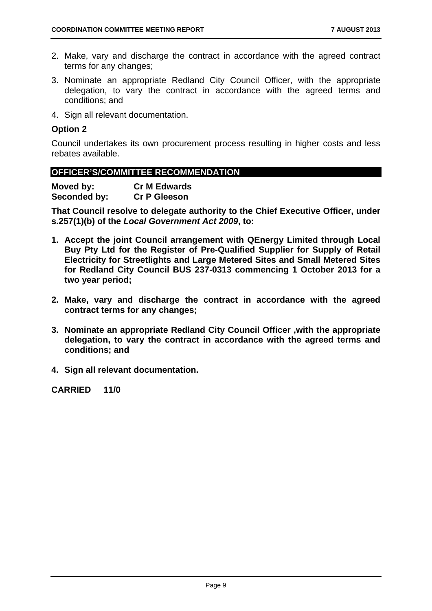- 2. Make, vary and discharge the contract in accordance with the agreed contract terms for any changes;
- 3. Nominate an appropriate Redland City Council Officer, with the appropriate delegation, to vary the contract in accordance with the agreed terms and conditions; and
- 4. Sign all relevant documentation.

#### **Option 2**

Council undertakes its own procurement process resulting in higher costs and less rebates available.

#### **OFFICER'S/COMMITTEE RECOMMENDATION**

| Moved by:    | <b>Cr M Edwards</b> |
|--------------|---------------------|
| Seconded by: | <b>Cr P Gleeson</b> |

**That Council resolve to delegate authority to the Chief Executive Officer, under s.257(1)(b) of the** *Local Government Act 2009***, to:** 

- **1. Accept the joint Council arrangement with QEnergy Limited through Local Buy Pty Ltd for the Register of Pre-Qualified Supplier for Supply of Retail Electricity for Streetlights and Large Metered Sites and Small Metered Sites for Redland City Council BUS 237-0313 commencing 1 October 2013 for a two year period;**
- **2. Make, vary and discharge the contract in accordance with the agreed contract terms for any changes;**
- **3. Nominate an appropriate Redland City Council Officer ,with the appropriate delegation, to vary the contract in accordance with the agreed terms and conditions; and**
- **4. Sign all relevant documentation.**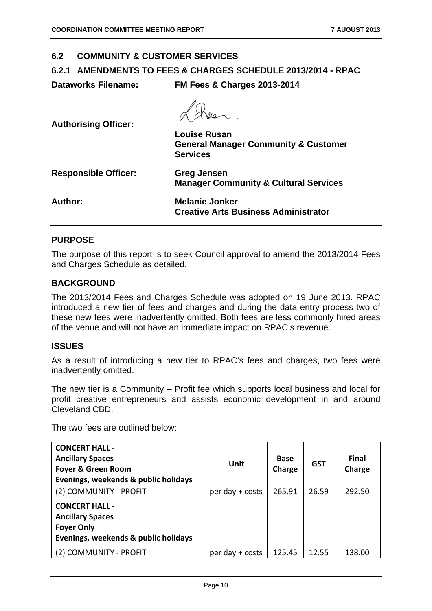#### **6.2 COMMUNITY & CUSTOMER SERVICES**

#### **6.2.1 AMENDMENTS TO FEES & CHARGES SCHEDULE 2013/2014 - RPAC**

**Dataworks Filename: FM Fees & Charges 2013-2014** 

| <b>Authorising Officer:</b> |                                                                    |
|-----------------------------|--------------------------------------------------------------------|
|                             | <b>Louise Rusan</b>                                                |
|                             | <b>General Manager Community &amp; Customer</b><br><b>Services</b> |
| <b>Responsible Officer:</b> | <b>Greg Jensen</b>                                                 |
|                             | <b>Manager Community &amp; Cultural Services</b>                   |
| Author:                     | <b>Melanie Jonker</b>                                              |
|                             | <b>Creative Arts Business Administrator</b>                        |

 $\overline{\phantom{a}}$ 

#### **PURPOSE**

The purpose of this report is to seek Council approval to amend the 2013/2014 Fees and Charges Schedule as detailed.

#### **BACKGROUND**

The 2013/2014 Fees and Charges Schedule was adopted on 19 June 2013. RPAC introduced a new tier of fees and charges and during the data entry process two of these new fees were inadvertently omitted. Both fees are less commonly hired areas of the venue and will not have an immediate impact on RPAC's revenue.

#### **ISSUES**

As a result of introducing a new tier to RPAC's fees and charges, two fees were inadvertently omitted.

The new tier is a Community – Profit fee which supports local business and local for profit creative entrepreneurs and assists economic development in and around Cleveland CBD.

The two fees are outlined below:

| <b>CONCERT HALL -</b><br><b>Ancillary Spaces</b><br><b>Foyer &amp; Green Room</b><br>Evenings, weekends & public holidays | Unit            | <b>Base</b><br>Charge | <b>GST</b> | <b>Final</b><br>Charge |
|---------------------------------------------------------------------------------------------------------------------------|-----------------|-----------------------|------------|------------------------|
| (2) COMMUNITY - PROFIT                                                                                                    | per day + costs | 265.91                | 26.59      | 292.50                 |
| <b>CONCERT HALL -</b><br><b>Ancillary Spaces</b><br><b>Foyer Only</b><br>Evenings, weekends & public holidays             |                 |                       |            |                        |
| (2) COMMUNITY - PROFIT                                                                                                    | per day + costs | 125.45                | 12.55      | 138.00                 |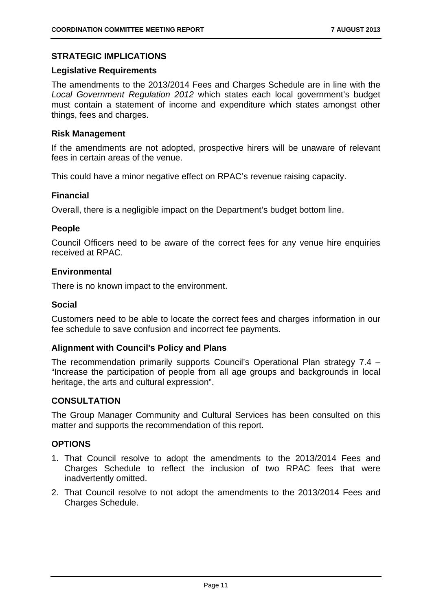#### **STRATEGIC IMPLICATIONS**

#### **Legislative Requirements**

The amendments to the 2013/2014 Fees and Charges Schedule are in line with the *Local Government Regulation 2012* which states each local government's budget must contain a statement of income and expenditure which states amongst other things, fees and charges.

#### **Risk Management**

If the amendments are not adopted, prospective hirers will be unaware of relevant fees in certain areas of the venue.

This could have a minor negative effect on RPAC's revenue raising capacity.

#### **Financial**

Overall, there is a negligible impact on the Department's budget bottom line.

#### **People**

Council Officers need to be aware of the correct fees for any venue hire enquiries received at RPAC.

#### **Environmental**

There is no known impact to the environment.

#### **Social**

Customers need to be able to locate the correct fees and charges information in our fee schedule to save confusion and incorrect fee payments.

#### **Alignment with Council's Policy and Plans**

The recommendation primarily supports Council's Operational Plan strategy 7.4 – "Increase the participation of people from all age groups and backgrounds in local heritage, the arts and cultural expression".

#### **CONSULTATION**

The Group Manager Community and Cultural Services has been consulted on this matter and supports the recommendation of this report.

#### **OPTIONS**

- 1. That Council resolve to adopt the amendments to the 2013/2014 Fees and Charges Schedule to reflect the inclusion of two RPAC fees that were inadvertently omitted.
- 2. That Council resolve to not adopt the amendments to the 2013/2014 Fees and Charges Schedule.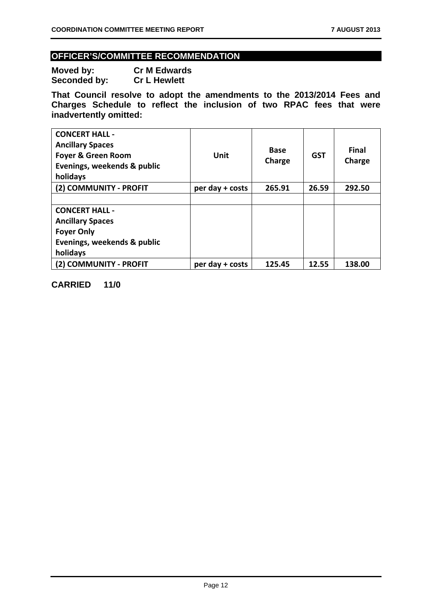#### **OFFICER'S/COMMITTEE RECOMMENDATION**

**Moved by: Cr M Edwards Seconded by: Cr L Hewlett** 

**That Council resolve to adopt the amendments to the 2013/2014 Fees and Charges Schedule to reflect the inclusion of two RPAC fees that were inadvertently omitted:** 

| <b>CONCERT HALL -</b><br><b>Ancillary Spaces</b><br><b>Foyer &amp; Green Room</b><br>Evenings, weekends & public<br>holidays | Unit            | <b>Base</b><br>Charge | <b>GST</b> | <b>Final</b><br>Charge |
|------------------------------------------------------------------------------------------------------------------------------|-----------------|-----------------------|------------|------------------------|
| (2) COMMUNITY - PROFIT                                                                                                       | per day + costs | 265.91                | 26.59      | 292.50                 |
|                                                                                                                              |                 |                       |            |                        |
| <b>CONCERT HALL -</b>                                                                                                        |                 |                       |            |                        |
| <b>Ancillary Spaces</b>                                                                                                      |                 |                       |            |                        |
| <b>Foyer Only</b>                                                                                                            |                 |                       |            |                        |
| Evenings, weekends & public                                                                                                  |                 |                       |            |                        |
| holidays                                                                                                                     |                 |                       |            |                        |
| (2) COMMUNITY - PROFIT                                                                                                       | per day + costs | 125.45                | 12.55      | 138.00                 |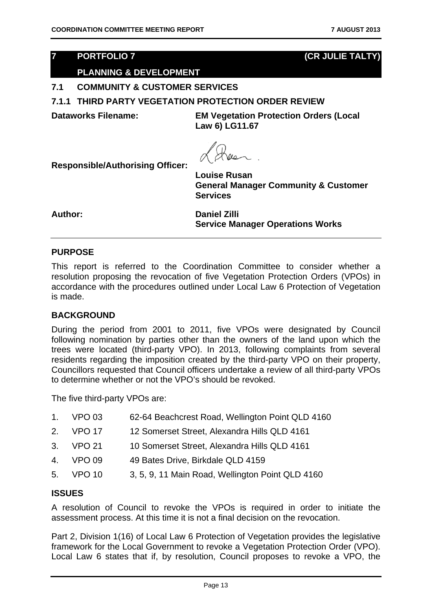#### **7 PORTFOLIO 7 (CR JULIE TALTY)**

#### **PLANNING & DEVELOPMENT**

#### **7.1 COMMUNITY & CUSTOMER SERVICES**

#### **7.1.1 THIRD PARTY VEGETATION PROTECTION ORDER REVIEW**

**Dataworks Filename: EM Vegetation Protection Orders (Local Law 6) LG11.67** 

**Responsible/Authorising Officer:** 

**Louise Rusan General Manager Community & Customer Services** 

**Author: Daniel Zilli Service Manager Operations Works** 

#### **PURPOSE**

This report is referred to the Coordination Committee to consider whether a resolution proposing the revocation of five Vegetation Protection Orders (VPOs) in accordance with the procedures outlined under Local Law 6 Protection of Vegetation is made.

#### **BACKGROUND**

During the period from 2001 to 2011, five VPOs were designated by Council following nomination by parties other than the owners of the land upon which the trees were located (third-party VPO). In 2013, following complaints from several residents regarding the imposition created by the third-party VPO on their property, Councillors requested that Council officers undertake a review of all third-party VPOs to determine whether or not the VPO's should be revoked.

The five third-party VPOs are:

| 1. VPO 03 | 62-64 Beachcrest Road, Wellington Point QLD 4160 |
|-----------|--------------------------------------------------|
| 2. VPO 17 | 12 Somerset Street, Alexandra Hills QLD 4161     |
| 3. VPO 21 | 10 Somerset Street, Alexandra Hills QLD 4161     |
| 4. VPO 09 | 49 Bates Drive, Birkdale QLD 4159                |
| 5. VPO 10 | 3, 5, 9, 11 Main Road, Wellington Point QLD 4160 |

#### **ISSUES**

A resolution of Council to revoke the VPOs is required in order to initiate the assessment process. At this time it is not a final decision on the revocation.

Part 2, Division 1(16) of Local Law 6 Protection of Vegetation provides the legislative framework for the Local Government to revoke a Vegetation Protection Order (VPO). Local Law 6 states that if, by resolution, Council proposes to revoke a VPO, the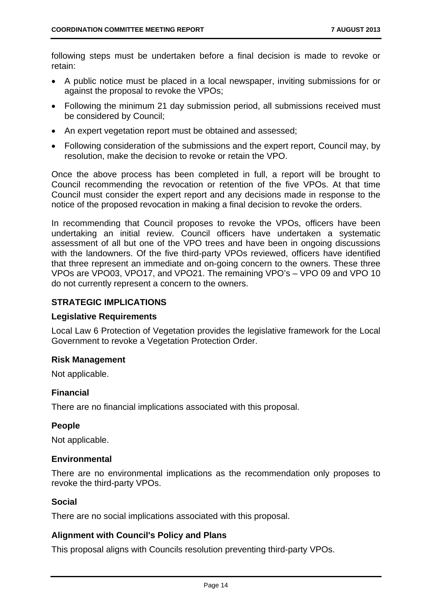following steps must be undertaken before a final decision is made to revoke or retain:

- A public notice must be placed in a local newspaper, inviting submissions for or against the proposal to revoke the VPOs;
- Following the minimum 21 day submission period, all submissions received must be considered by Council;
- An expert vegetation report must be obtained and assessed;
- Following consideration of the submissions and the expert report, Council may, by resolution, make the decision to revoke or retain the VPO.

Once the above process has been completed in full, a report will be brought to Council recommending the revocation or retention of the five VPOs. At that time Council must consider the expert report and any decisions made in response to the notice of the proposed revocation in making a final decision to revoke the orders.

In recommending that Council proposes to revoke the VPOs, officers have been undertaking an initial review. Council officers have undertaken a systematic assessment of all but one of the VPO trees and have been in ongoing discussions with the landowners. Of the five third-party VPOs reviewed, officers have identified that three represent an immediate and on-going concern to the owners. These three VPOs are VPO03, VPO17, and VPO21. The remaining VPO's – VPO 09 and VPO 10 do not currently represent a concern to the owners.

#### **STRATEGIC IMPLICATIONS**

#### **Legislative Requirements**

Local Law 6 Protection of Vegetation provides the legislative framework for the Local Government to revoke a Vegetation Protection Order.

#### **Risk Management**

Not applicable.

#### **Financial**

There are no financial implications associated with this proposal.

#### **People**

Not applicable.

#### **Environmental**

There are no environmental implications as the recommendation only proposes to revoke the third-party VPOs.

#### **Social**

There are no social implications associated with this proposal.

#### **Alignment with Council's Policy and Plans**

This proposal aligns with Councils resolution preventing third-party VPOs.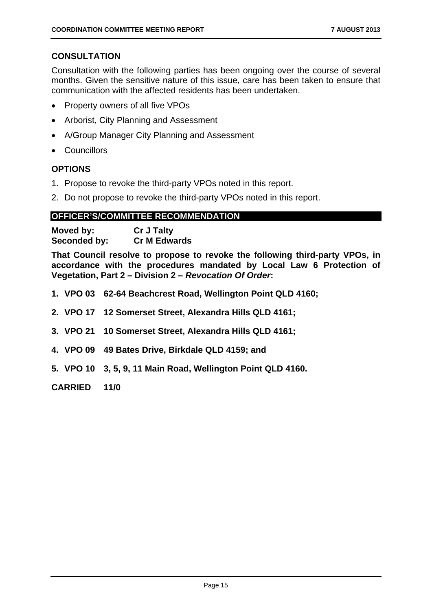#### **CONSULTATION**

Consultation with the following parties has been ongoing over the course of several months. Given the sensitive nature of this issue, care has been taken to ensure that communication with the affected residents has been undertaken.

- Property owners of all five VPOs
- Arborist, City Planning and Assessment
- A/Group Manager City Planning and Assessment
- Councillors

#### **OPTIONS**

- 1. Propose to revoke the third-party VPOs noted in this report.
- 2. Do not propose to revoke the third-party VPOs noted in this report.

#### **OFFICER'S/COMMITTEE RECOMMENDATION**

| Moved by:    | <b>Cr J Talty</b>   |
|--------------|---------------------|
| Seconded by: | <b>Cr M Edwards</b> |

**That Council resolve to propose to revoke the following third-party VPOs, in accordance with the procedures mandated by Local Law 6 Protection of Vegetation, Part 2 – Division 2 –** *Revocation Of Order***:** 

- **1. VPO 03 62-64 Beachcrest Road, Wellington Point QLD 4160;**
- **2. VPO 17 12 Somerset Street, Alexandra Hills QLD 4161;**
- **3. VPO 21 10 Somerset Street, Alexandra Hills QLD 4161;**
- **4. VPO 09 49 Bates Drive, Birkdale QLD 4159; and**
- **5. VPO 10 3, 5, 9, 11 Main Road, Wellington Point QLD 4160.**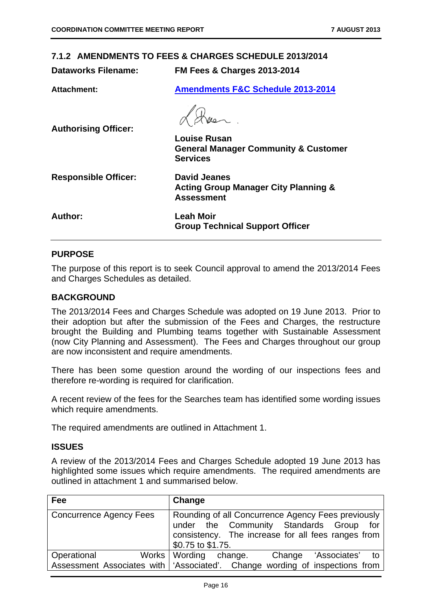#### **7.1.2 AMENDMENTS TO FEES & CHARGES SCHEDULE 2013/2014**

**Dataworks Filename: FM Fees & Charges 2013-2014** 

**Attachment: Amendments F&C Schedule 2013-2014**

**Authorising Officer: Louise Rusan General Manager Community & Customer Services Responsible Officer: David Jeanes Acting Group Manager City Planning & Assessment Author: Leah Moir Group Technical Support Officer** 

#### **PURPOSE**

The purpose of this report is to seek Council approval to amend the 2013/2014 Fees and Charges Schedules as detailed.

#### **BACKGROUND**

The 2013/2014 Fees and Charges Schedule was adopted on 19 June 2013. Prior to their adoption but after the submission of the Fees and Charges, the restructure brought the Building and Plumbing teams together with Sustainable Assessment (now City Planning and Assessment). The Fees and Charges throughout our group are now inconsistent and require amendments.

There has been some question around the wording of our inspections fees and therefore re-wording is required for clarification.

A recent review of the fees for the Searches team has identified some wording issues which require amendments.

The required amendments are outlined in Attachment 1.

#### **ISSUES**

A review of the 2013/2014 Fees and Charges Schedule adopted 19 June 2013 has highlighted some issues which require amendments. The required amendments are outlined in attachment 1 and summarised below.

| Fee                     | Change                                                                                                                                                                   |
|-------------------------|--------------------------------------------------------------------------------------------------------------------------------------------------------------------------|
| Concurrence Agency Fees | Rounding of all Concurrence Agency Fees previously<br>under the Community Standards Group for<br>consistency. The increase for all fees ranges from<br>\$0.75 to \$1.75. |
| Operational             | Works Wording change. Change 'Associates' to                                                                                                                             |
|                         | Assessment Associates with   'Associated'. Change wording of inspections from                                                                                            |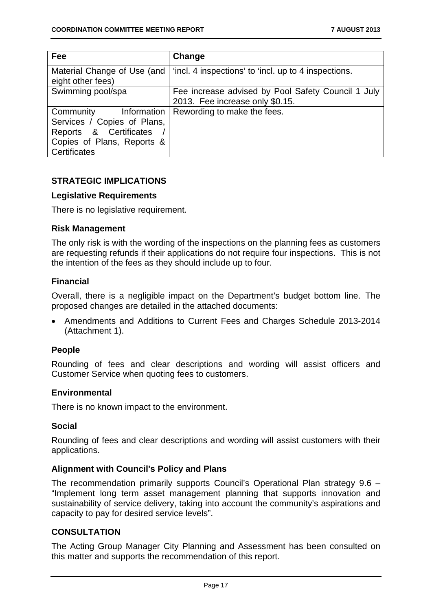| Fee                                                                                                                             | Change                                                                                |
|---------------------------------------------------------------------------------------------------------------------------------|---------------------------------------------------------------------------------------|
| Material Change of Use (and<br>eight other fees)                                                                                | 'incl. 4 inspections' to 'incl. up to 4 inspections.                                  |
| Swimming pool/spa                                                                                                               | Fee increase advised by Pool Safety Council 1 July<br>2013. Fee increase only \$0.15. |
| Community<br>Information<br>Services / Copies of Plans,<br>Reports & Certificates<br>Copies of Plans, Reports &<br>Certificates | Rewording to make the fees.                                                           |

#### **STRATEGIC IMPLICATIONS**

#### **Legislative Requirements**

There is no legislative requirement.

#### **Risk Management**

The only risk is with the wording of the inspections on the planning fees as customers are requesting refunds if their applications do not require four inspections. This is not the intention of the fees as they should include up to four.

#### **Financial**

Overall, there is a negligible impact on the Department's budget bottom line. The proposed changes are detailed in the attached documents:

 Amendments and Additions to Current Fees and Charges Schedule 2013-2014 (Attachment 1).

#### **People**

Rounding of fees and clear descriptions and wording will assist officers and Customer Service when quoting fees to customers.

#### **Environmental**

There is no known impact to the environment.

#### **Social**

Rounding of fees and clear descriptions and wording will assist customers with their applications.

#### **Alignment with Council's Policy and Plans**

The recommendation primarily supports Council's Operational Plan strategy 9.6 – "Implement long term asset management planning that supports innovation and sustainability of service delivery, taking into account the community's aspirations and capacity to pay for desired service levels".

#### **CONSULTATION**

The Acting Group Manager City Planning and Assessment has been consulted on this matter and supports the recommendation of this report.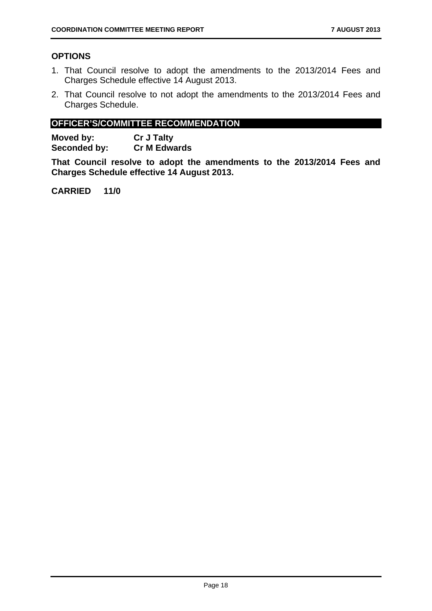#### **OPTIONS**

- 1. That Council resolve to adopt the amendments to the 2013/2014 Fees and Charges Schedule effective 14 August 2013.
- 2. That Council resolve to not adopt the amendments to the 2013/2014 Fees and Charges Schedule.

#### **OFFICER'S/COMMITTEE RECOMMENDATION**

**Moved by: Cr J Talty Seconded by: Cr M Edwards** 

**That Council resolve to adopt the amendments to the 2013/2014 Fees and Charges Schedule effective 14 August 2013.**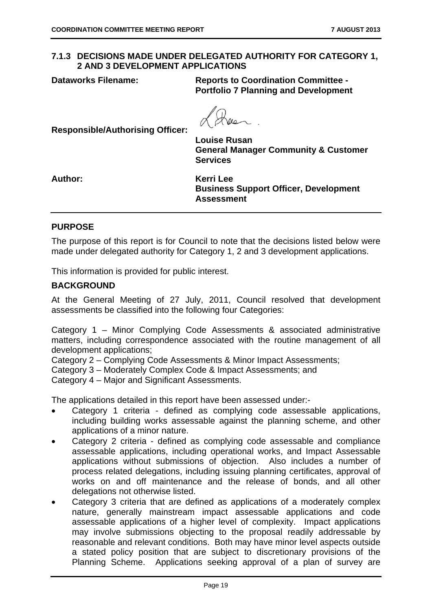#### **7.1.3 DECISIONS MADE UNDER DELEGATED AUTHORITY FOR CATEGORY 1, 2 AND 3 DEVELOPMENT APPLICATIONS**

**Dataworks Filename: Reports to Coordination Committee - Portfolio 7 Planning and Development** 

**Responsible/Authorising Officer:** 

**Louise Rusan General Manager Community & Customer Services** 

**Author: Kerri Lee Business Support Officer, Development Assessment** 

#### **PURPOSE**

The purpose of this report is for Council to note that the decisions listed below were made under delegated authority for Category 1, 2 and 3 development applications.

This information is provided for public interest.

#### **BACKGROUND**

At the General Meeting of 27 July, 2011, Council resolved that development assessments be classified into the following four Categories:

Category 1 – Minor Complying Code Assessments & associated administrative matters, including correspondence associated with the routine management of all development applications;

Category 2 – Complying Code Assessments & Minor Impact Assessments;

Category 3 – Moderately Complex Code & Impact Assessments; and

Category 4 – Major and Significant Assessments.

The applications detailed in this report have been assessed under:-

- Category 1 criteria defined as complying code assessable applications, including building works assessable against the planning scheme, and other applications of a minor nature.
- Category 2 criteria defined as complying code assessable and compliance assessable applications, including operational works, and Impact Assessable applications without submissions of objection. Also includes a number of process related delegations, including issuing planning certificates, approval of works on and off maintenance and the release of bonds, and all other delegations not otherwise listed.
- Category 3 criteria that are defined as applications of a moderately complex nature, generally mainstream impact assessable applications and code assessable applications of a higher level of complexity. Impact applications may involve submissions objecting to the proposal readily addressable by reasonable and relevant conditions. Both may have minor level aspects outside a stated policy position that are subject to discretionary provisions of the Planning Scheme. Applications seeking approval of a plan of survey are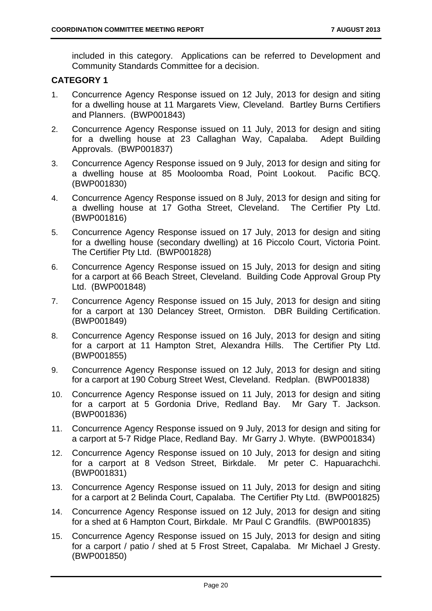included in this category. Applications can be referred to Development and Community Standards Committee for a decision.

#### **CATEGORY 1**

- 1. Concurrence Agency Response issued on 12 July, 2013 for design and siting for a dwelling house at 11 Margarets View, Cleveland. Bartley Burns Certifiers and Planners. (BWP001843)
- 2. Concurrence Agency Response issued on 11 July, 2013 for design and siting for a dwelling house at 23 Callaghan Way, Capalaba. Adept Building Approvals. (BWP001837)
- 3. Concurrence Agency Response issued on 9 July, 2013 for design and siting for a dwelling house at 85 Mooloomba Road, Point Lookout. Pacific BCQ. (BWP001830)
- 4. Concurrence Agency Response issued on 8 July, 2013 for design and siting for a dwelling house at 17 Gotha Street, Cleveland. The Certifier Pty Ltd. (BWP001816)
- 5. Concurrence Agency Response issued on 17 July, 2013 for design and siting for a dwelling house (secondary dwelling) at 16 Piccolo Court, Victoria Point. The Certifier Pty Ltd. (BWP001828)
- 6. Concurrence Agency Response issued on 15 July, 2013 for design and siting for a carport at 66 Beach Street, Cleveland. Building Code Approval Group Pty Ltd. (BWP001848)
- 7. Concurrence Agency Response issued on 15 July, 2013 for design and siting for a carport at 130 Delancey Street, Ormiston. DBR Building Certification. (BWP001849)
- 8. Concurrence Agency Response issued on 16 July, 2013 for design and siting for a carport at 11 Hampton Stret, Alexandra Hills. The Certifier Pty Ltd. (BWP001855)
- 9. Concurrence Agency Response issued on 12 July, 2013 for design and siting for a carport at 190 Coburg Street West, Cleveland. Redplan. (BWP001838)
- 10. Concurrence Agency Response issued on 11 July, 2013 for design and siting for a carport at 5 Gordonia Drive, Redland Bay. Mr Gary T. Jackson. (BWP001836)
- 11. Concurrence Agency Response issued on 9 July, 2013 for design and siting for a carport at 5-7 Ridge Place, Redland Bay. Mr Garry J. Whyte. (BWP001834)
- 12. Concurrence Agency Response issued on 10 July, 2013 for design and siting for a carport at 8 Vedson Street, Birkdale. Mr peter C. Hapuarachchi. (BWP001831)
- 13. Concurrence Agency Response issued on 11 July, 2013 for design and siting for a carport at 2 Belinda Court, Capalaba. The Certifier Pty Ltd. (BWP001825)
- 14. Concurrence Agency Response issued on 12 July, 2013 for design and siting for a shed at 6 Hampton Court, Birkdale. Mr Paul C Grandfils. (BWP001835)
- 15. Concurrence Agency Response issued on 15 July, 2013 for design and siting for a carport / patio / shed at 5 Frost Street, Capalaba. Mr Michael J Gresty. (BWP001850)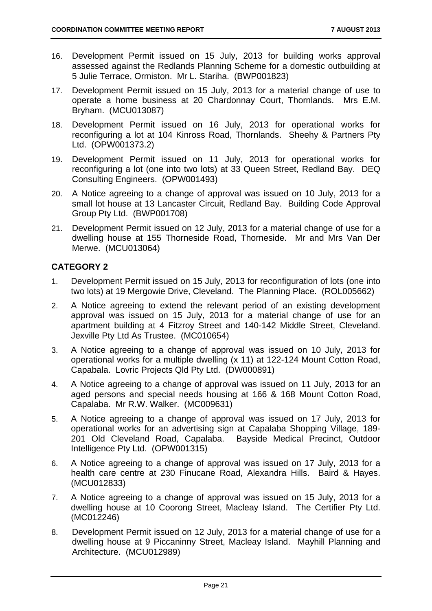- 16. Development Permit issued on 15 July, 2013 for building works approval assessed against the Redlands Planning Scheme for a domestic outbuilding at 5 Julie Terrace, Ormiston. Mr L. Stariha. (BWP001823)
- 17. Development Permit issued on 15 July, 2013 for a material change of use to operate a home business at 20 Chardonnay Court, Thornlands. Mrs E.M. Bryham. (MCU013087)
- 18. Development Permit issued on 16 July, 2013 for operational works for reconfiguring a lot at 104 Kinross Road, Thornlands. Sheehy & Partners Pty Ltd. (OPW001373.2)
- 19. Development Permit issued on 11 July, 2013 for operational works for reconfiguring a lot (one into two lots) at 33 Queen Street, Redland Bay. DEQ Consulting Engineers. (OPW001493)
- 20. A Notice agreeing to a change of approval was issued on 10 July, 2013 for a small lot house at 13 Lancaster Circuit, Redland Bay. Building Code Approval Group Pty Ltd. (BWP001708)
- 21. Development Permit issued on 12 July, 2013 for a material change of use for a dwelling house at 155 Thorneside Road, Thorneside. Mr and Mrs Van Der Merwe. (MCU013064)

#### **CATEGORY 2**

- 1. Development Permit issued on 15 July, 2013 for reconfiguration of lots (one into two lots) at 19 Mergowie Drive, Cleveland. The Planning Place. (ROL005662)
- 2. A Notice agreeing to extend the relevant period of an existing development approval was issued on 15 July, 2013 for a material change of use for an apartment building at 4 Fitzroy Street and 140-142 Middle Street, Cleveland. Jexville Pty Ltd As Trustee. (MC010654)
- 3. A Notice agreeing to a change of approval was issued on 10 July, 2013 for operational works for a multiple dwelling (x 11) at 122-124 Mount Cotton Road, Capabala. Lovric Projects Qld Pty Ltd. (DW000891)
- 4. A Notice agreeing to a change of approval was issued on 11 July, 2013 for an aged persons and special needs housing at 166 & 168 Mount Cotton Road, Capalaba. Mr R.W. Walker. (MC009631)
- 5. A Notice agreeing to a change of approval was issued on 17 July, 2013 for operational works for an advertising sign at Capalaba Shopping Village, 189- 201 Old Cleveland Road, Capalaba. Bayside Medical Precinct, Outdoor Intelligence Pty Ltd. (OPW001315)
- 6. A Notice agreeing to a change of approval was issued on 17 July, 2013 for a health care centre at 230 Finucane Road, Alexandra Hills. Baird & Hayes. (MCU012833)
- 7. A Notice agreeing to a change of approval was issued on 15 July, 2013 for a dwelling house at 10 Coorong Street, Macleay Island. The Certifier Pty Ltd. (MC012246)
- 8. Development Permit issued on 12 July, 2013 for a material change of use for a dwelling house at 9 Piccaninny Street, Macleay Island. Mayhill Planning and Architecture. (MCU012989)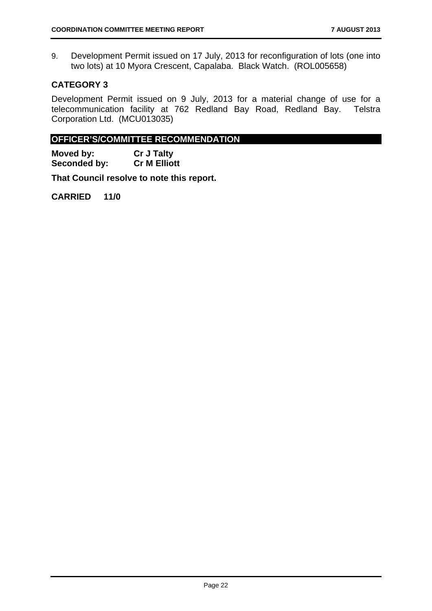9. Development Permit issued on 17 July, 2013 for reconfiguration of lots (one into two lots) at 10 Myora Crescent, Capalaba. Black Watch. (ROL005658)

#### **CATEGORY 3**

Development Permit issued on 9 July, 2013 for a material change of use for a telecommunication facility at 762 Redland Bay Road, Redland Bay. Telstra Corporation Ltd. (MCU013035)

#### **OFFICER'S/COMMITTEE RECOMMENDATION**

**Moved by:** Cr J Talty<br> **Seconded by:** Cr M Elliott **Seconded by:** 

**That Council resolve to note this report.**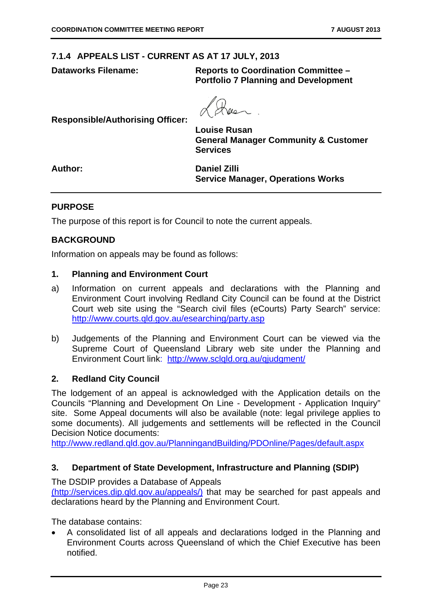#### **7.1.4 APPEALS LIST - CURRENT AS AT 17 JULY, 2013**

**Dataworks Filename: Reports to Coordination Committee – Portfolio 7 Planning and Development** 

**Responsible/Authorising Officer:** 

**Louise Rusan General Manager Community & Customer Services** 

**Author: Daniel Zilli Service Manager, Operations Works** 

#### **PURPOSE**

The purpose of this report is for Council to note the current appeals.

#### **BACKGROUND**

Information on appeals may be found as follows:

#### **1. Planning and Environment Court**

- a) Information on current appeals and declarations with the Planning and Environment Court involving Redland City Council can be found at the District Court web site using the "Search civil files (eCourts) Party Search" service: http://www.courts.qld.gov.au/esearching/party.asp
- b) Judgements of the Planning and Environment Court can be viewed via the Supreme Court of Queensland Library web site under the Planning and Environment Court link: http://www.sclqld.org.au/giudgment/

#### **2. Redland City Council**

The lodgement of an appeal is acknowledged with the Application details on the Councils "Planning and Development On Line - Development - Application Inquiry" site. Some Appeal documents will also be available (note: legal privilege applies to some documents). All judgements and settlements will be reflected in the Council Decision Notice documents:

http://www.redland.qld.gov.au/PlanningandBuilding/PDOnline/Pages/default.aspx

#### **3. Department of State Development, Infrastructure and Planning (SDIP)**

The DSDIP provides a Database of Appeals

(http://services.dip.qld.gov.au/appeals/) that may be searched for past appeals and declarations heard by the Planning and Environment Court.

The database contains:

 A consolidated list of all appeals and declarations lodged in the Planning and Environment Courts across Queensland of which the Chief Executive has been notified.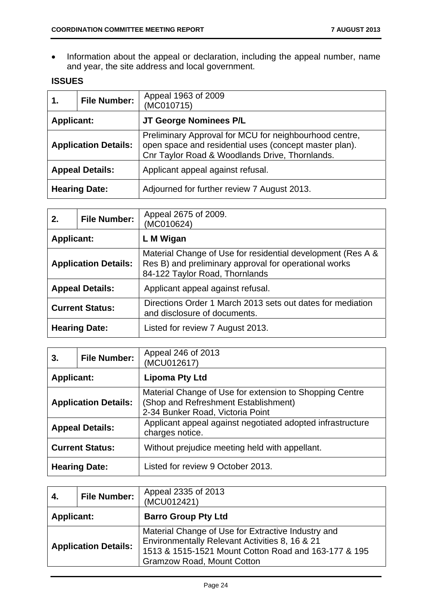• Information about the appeal or declaration, including the appeal number, name and year, the site address and local government.

#### **ISSUES**

| 1.                | <b>File Number:</b>         | Appeal 1963 of 2009<br>(MC010715)                                                                                                                                  |
|-------------------|-----------------------------|--------------------------------------------------------------------------------------------------------------------------------------------------------------------|
| <b>Applicant:</b> |                             | JT George Nominees P/L                                                                                                                                             |
|                   | <b>Application Details:</b> | Preliminary Approval for MCU for neighbourhood centre,<br>open space and residential uses (concept master plan).<br>Cnr Taylor Road & Woodlands Drive, Thornlands. |
|                   | <b>Appeal Details:</b>      | Applicant appeal against refusal.                                                                                                                                  |
|                   | <b>Hearing Date:</b>        | Adjourned for further review 7 August 2013.                                                                                                                        |

| 2.                | <b>File Number:</b>         | Appeal 2675 of 2009.<br>(MC010624)                                                                                                                     |
|-------------------|-----------------------------|--------------------------------------------------------------------------------------------------------------------------------------------------------|
| <b>Applicant:</b> |                             | L M Wigan                                                                                                                                              |
|                   | <b>Application Details:</b> | Material Change of Use for residential development (Res A &<br>Res B) and preliminary approval for operational works<br>84-122 Taylor Road, Thornlands |
|                   | <b>Appeal Details:</b>      | Applicant appeal against refusal.                                                                                                                      |
|                   | <b>Current Status:</b>      | Directions Order 1 March 2013 sets out dates for mediation<br>and disclosure of documents.                                                             |
|                   | <b>Hearing Date:</b>        | Listed for review 7 August 2013.                                                                                                                       |

| 3.                | <b>File Number:</b>         | Appeal 246 of 2013<br>(MCU012617)                                                                                                   |
|-------------------|-----------------------------|-------------------------------------------------------------------------------------------------------------------------------------|
| <b>Applicant:</b> |                             | Lipoma Pty Ltd                                                                                                                      |
|                   | <b>Application Details:</b> | Material Change of Use for extension to Shopping Centre<br>(Shop and Refreshment Establishment)<br>2-34 Bunker Road, Victoria Point |
|                   | <b>Appeal Details:</b>      | Applicant appeal against negotiated adopted infrastructure<br>charges notice.                                                       |
|                   | <b>Current Status:</b>      | Without prejudice meeting held with appellant.                                                                                      |
|                   | <b>Hearing Date:</b>        | Listed for review 9 October 2013.                                                                                                   |

| 4.                          | <b>File Number:</b> | Appeal 2335 of 2013<br>(MCU012421)                                                                                                                                                         |
|-----------------------------|---------------------|--------------------------------------------------------------------------------------------------------------------------------------------------------------------------------------------|
| <b>Applicant:</b>           |                     | <b>Barro Group Pty Ltd</b>                                                                                                                                                                 |
| <b>Application Details:</b> |                     | Material Change of Use for Extractive Industry and<br>Environmentally Relevant Activities 8, 16 & 21<br>1513 & 1515-1521 Mount Cotton Road and 163-177 & 195<br>Gramzow Road, Mount Cotton |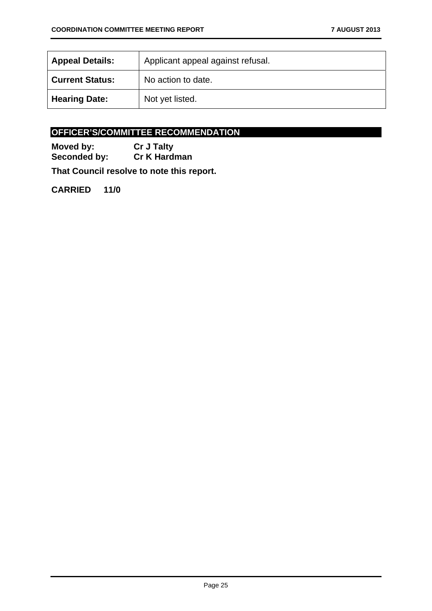| <b>Appeal Details:</b> | Applicant appeal against refusal. |
|------------------------|-----------------------------------|
| <b>Current Status:</b> | No action to date.                |
| <b>Hearing Date:</b>   | Not yet listed.                   |

#### **OFFICER'S/COMMITTEE RECOMMENDATION**

**Moved by:** Cr J Talty<br> **Seconded by:** Cr K Hard **Cr K Hardman** 

**That Council resolve to note this report.**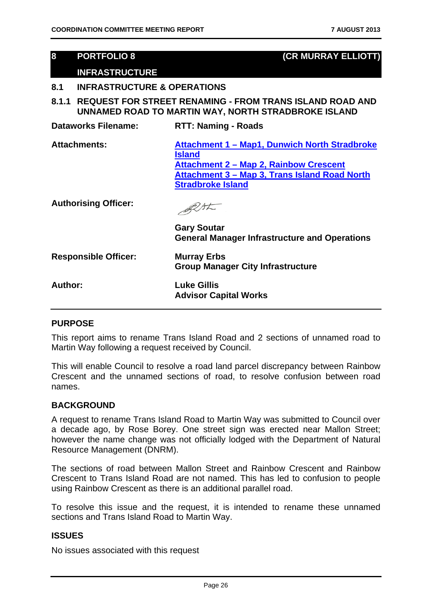#### **8 PORTFOLIO 8 (CR MURRAY ELLIOTT)**

#### **INFRASTRUCTURE**

#### **8.1 INFRASTRUCTURE & OPERATIONS**

**8.1.1 REQUEST FOR STREET RENAMING - FROM TRANS ISLAND ROAD AND UNNAMED ROAD TO MARTIN WAY, NORTH STRADBROKE ISLAND** 

| <b>Dataworks Filename:</b>  | <b>RTT: Naming - Roads</b>                                                                                                                                                            |
|-----------------------------|---------------------------------------------------------------------------------------------------------------------------------------------------------------------------------------|
| <b>Attachments:</b>         | Attachment 1 - Map1, Dunwich North Stradbroke<br>Island<br><b>Attachment 2 – Map 2, Rainbow Crescent</b><br>Attachment 3 – Map 3, Trans Island Road North<br><b>Stradbroke Island</b> |
| <b>Authorising Officer:</b> | <b>Gary Soutar</b>                                                                                                                                                                    |
|                             | <b>General Manager Infrastructure and Operations</b>                                                                                                                                  |
| <b>Responsible Officer:</b> | <b>Murray Erbs</b><br><b>Group Manager City Infrastructure</b>                                                                                                                        |
| Author:                     | <b>Luke Gillis</b><br><b>Advisor Capital Works</b>                                                                                                                                    |

#### **PURPOSE**

This report aims to rename Trans Island Road and 2 sections of unnamed road to Martin Way following a request received by Council.

This will enable Council to resolve a road land parcel discrepancy between Rainbow Crescent and the unnamed sections of road, to resolve confusion between road names.

#### **BACKGROUND**

A request to rename Trans Island Road to Martin Way was submitted to Council over a decade ago, by Rose Borey. One street sign was erected near Mallon Street; however the name change was not officially lodged with the Department of Natural Resource Management (DNRM).

The sections of road between Mallon Street and Rainbow Crescent and Rainbow Crescent to Trans Island Road are not named. This has led to confusion to people using Rainbow Crescent as there is an additional parallel road.

To resolve this issue and the request, it is intended to rename these unnamed sections and Trans Island Road to Martin Way.

#### **ISSUES**

No issues associated with this request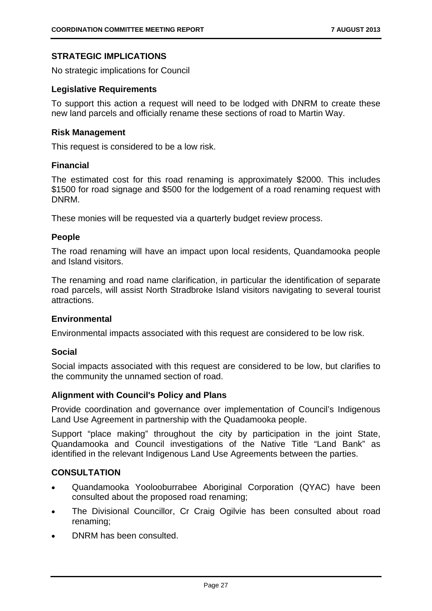#### **STRATEGIC IMPLICATIONS**

No strategic implications for Council

#### **Legislative Requirements**

To support this action a request will need to be lodged with DNRM to create these new land parcels and officially rename these sections of road to Martin Way.

#### **Risk Management**

This request is considered to be a low risk.

#### **Financial**

The estimated cost for this road renaming is approximately \$2000. This includes \$1500 for road signage and \$500 for the lodgement of a road renaming request with DNRM.

These monies will be requested via a quarterly budget review process.

#### **People**

The road renaming will have an impact upon local residents, Quandamooka people and Island visitors.

The renaming and road name clarification, in particular the identification of separate road parcels, will assist North Stradbroke Island visitors navigating to several tourist attractions.

#### **Environmental**

Environmental impacts associated with this request are considered to be low risk.

#### **Social**

Social impacts associated with this request are considered to be low, but clarifies to the community the unnamed section of road.

#### **Alignment with Council's Policy and Plans**

Provide coordination and governance over implementation of Council's Indigenous Land Use Agreement in partnership with the Quadamooka people.

Support "place making" throughout the city by participation in the joint State, Quandamooka and Council investigations of the Native Title "Land Bank" as identified in the relevant Indigenous Land Use Agreements between the parties.

#### **CONSULTATION**

- Quandamooka Yoolooburrabee Aboriginal Corporation (QYAC) have been consulted about the proposed road renaming;
- The Divisional Councillor, Cr Craig Ogilvie has been consulted about road renaming;
- DNRM has been consulted.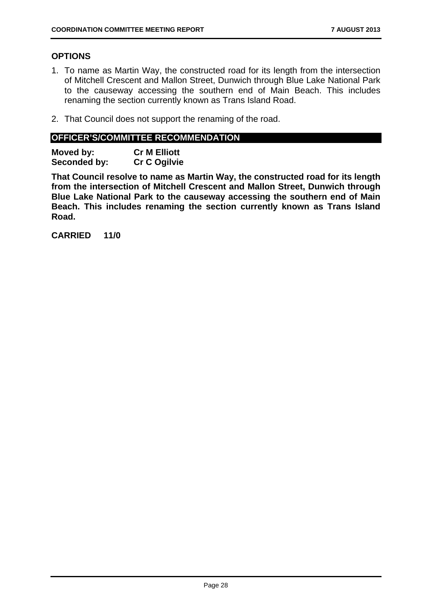#### **OPTIONS**

- 1. To name as Martin Way, the constructed road for its length from the intersection of Mitchell Crescent and Mallon Street, Dunwich through Blue Lake National Park to the causeway accessing the southern end of Main Beach. This includes renaming the section currently known as Trans Island Road.
- 2. That Council does not support the renaming of the road.

#### **OFFICER'S/COMMITTEE RECOMMENDATION**

**Moved by: Cr M Elliott Seconded by: Cr C Ogilvie** 

**That Council resolve to name as Martin Way, the constructed road for its length from the intersection of Mitchell Crescent and Mallon Street, Dunwich through Blue Lake National Park to the causeway accessing the southern end of Main Beach. This includes renaming the section currently known as Trans Island Road.**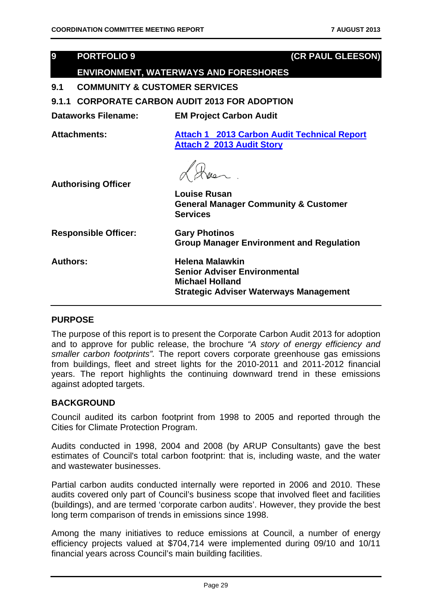### **9 PORTFOLIO 9 (CR PAUL GLEESON) ENVIRONMENT, WATERWAYS AND FORESHORES 9.1 COMMUNITY & CUSTOMER SERVICES 9.1.1 CORPORATE CARBON AUDIT 2013 FOR ADOPTION Dataworks Filename: EM Project Carbon Audit Attachments: Attach 1 2013 Carbon Audit Technical Report Attach 2 2013 Audit Story Authorising Officer Louise Rusan General Manager Community & Customer Services Responsible Officer: Gary Photinos Group Manager Environment and Regulation Authors: Helena Malawkin Senior Adviser Environmental Michael Holland Strategic Adviser Waterways Management**

#### **PURPOSE**

The purpose of this report is to present the Corporate Carbon Audit 2013 for adoption and to approve for public release, the brochure *"A story of energy efficiency and smaller carbon footprints".* The report covers corporate greenhouse gas emissions from buildings, fleet and street lights for the 2010-2011 and 2011-2012 financial years. The report highlights the continuing downward trend in these emissions against adopted targets.

#### **BACKGROUND**

Council audited its carbon footprint from 1998 to 2005 and reported through the Cities for Climate Protection Program.

Audits conducted in 1998, 2004 and 2008 (by ARUP Consultants) gave the best estimates of Council's total carbon footprint: that is, including waste, and the water and wastewater businesses.

Partial carbon audits conducted internally were reported in 2006 and 2010. These audits covered only part of Council's business scope that involved fleet and facilities (buildings), and are termed 'corporate carbon audits'. However, they provide the best long term comparison of trends in emissions since 1998.

Among the many initiatives to reduce emissions at Council, a number of energy efficiency projects valued at \$704,714 were implemented during 09/10 and 10/11 financial years across Council's main building facilities.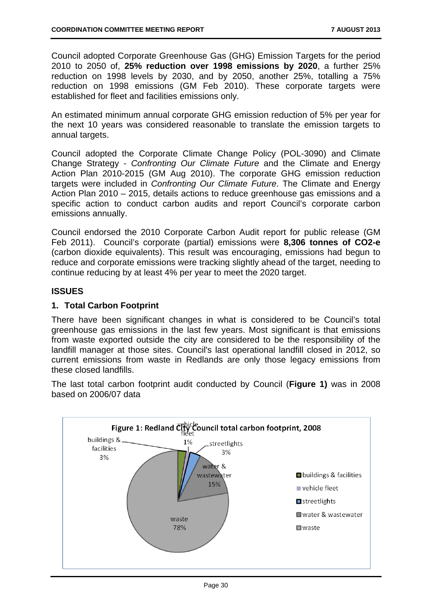Council adopted Corporate Greenhouse Gas (GHG) Emission Targets for the period 2010 to 2050 of, **25% reduction over 1998 emissions by 2020**, a further 25% reduction on 1998 levels by 2030, and by 2050, another 25%, totalling a 75% reduction on 1998 emissions (GM Feb 2010). These corporate targets were established for fleet and facilities emissions only.

An estimated minimum annual corporate GHG emission reduction of 5% per year for the next 10 years was considered reasonable to translate the emission targets to annual targets.

Council adopted the Corporate Climate Change Policy (POL-3090) and Climate Change Strategy - *Confronting Our Climate Future* and the Climate and Energy Action Plan 2010-2015 (GM Aug 2010). The corporate GHG emission reduction targets were included in *Confronting Our Climate Future*. The Climate and Energy Action Plan 2010 – 2015, details actions to reduce greenhouse gas emissions and a specific action to conduct carbon audits and report Council's corporate carbon emissions annually.

Council endorsed the 2010 Corporate Carbon Audit report for public release (GM Feb 2011). Council's corporate (partial) emissions were **8,306 tonnes of CO2-e** (carbon dioxide equivalents). This result was encouraging, emissions had begun to reduce and corporate emissions were tracking slightly ahead of the target, needing to continue reducing by at least 4% per year to meet the 2020 target.

#### **ISSUES**

#### **1. Total Carbon Footprint**

There have been significant changes in what is considered to be Council's total greenhouse gas emissions in the last few years. Most significant is that emissions from waste exported outside the city are considered to be the responsibility of the landfill manager at those sites. Council's last operational landfill closed in 2012, so current emissions from waste in Redlands are only those legacy emissions from these closed landfills.

The last total carbon footprint audit conducted by Council (**Figure 1)** was in 2008 based on 2006/07 data

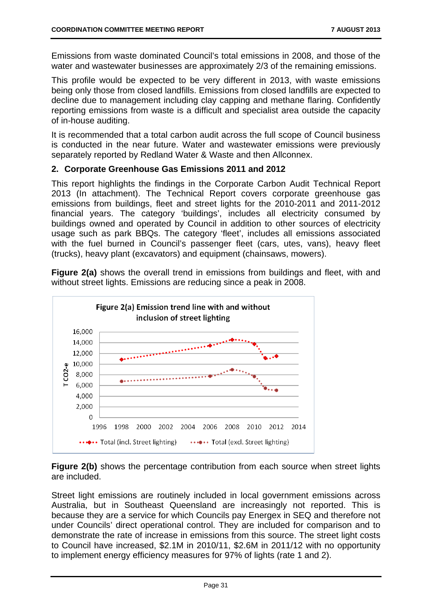Emissions from waste dominated Council's total emissions in 2008, and those of the water and wastewater businesses are approximately 2/3 of the remaining emissions.

This profile would be expected to be very different in 2013, with waste emissions being only those from closed landfills. Emissions from closed landfills are expected to decline due to management including clay capping and methane flaring. Confidently reporting emissions from waste is a difficult and specialist area outside the capacity of in-house auditing.

It is recommended that a total carbon audit across the full scope of Council business is conducted in the near future. Water and wastewater emissions were previously separately reported by Redland Water & Waste and then Allconnex.

#### **2. Corporate Greenhouse Gas Emissions 2011 and 2012**

This report highlights the findings in the Corporate Carbon Audit Technical Report 2013 (In attachment). The Technical Report covers corporate greenhouse gas emissions from buildings, fleet and street lights for the 2010-2011 and 2011-2012 financial years. The category 'buildings', includes all electricity consumed by buildings owned and operated by Council in addition to other sources of electricity usage such as park BBQs. The category 'fleet', includes all emissions associated with the fuel burned in Council's passenger fleet (cars, utes, vans), heavy fleet (trucks), heavy plant (excavators) and equipment (chainsaws, mowers).

**Figure 2(a)** shows the overall trend in emissions from buildings and fleet, with and without street lights. Emissions are reducing since a peak in 2008.



**Figure 2(b)** shows the percentage contribution from each source when street lights are included.

Street light emissions are routinely included in local government emissions across Australia, but in Southeast Queensland are increasingly not reported. This is because they are a service for which Councils pay Energex in SEQ and therefore not under Councils' direct operational control. They are included for comparison and to demonstrate the rate of increase in emissions from this source. The street light costs to Council have increased, \$2.1M in 2010/11, \$2.6M in 2011/12 with no opportunity to implement energy efficiency measures for 97% of lights (rate 1 and 2).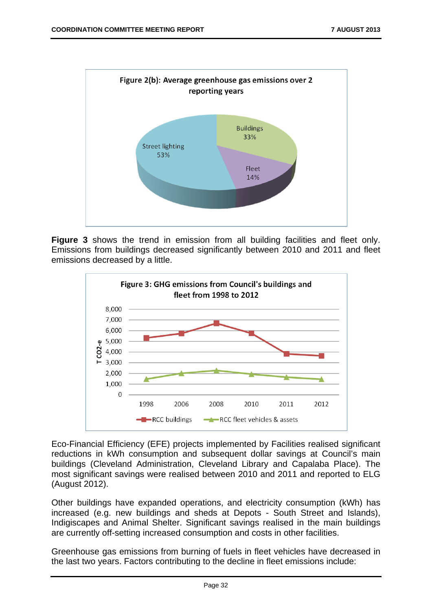

**Figure 3** shows the trend in emission from all building facilities and fleet only. Emissions from buildings decreased significantly between 2010 and 2011 and fleet emissions decreased by a little.



Eco-Financial Efficiency (EFE) projects implemented by Facilities realised significant reductions in kWh consumption and subsequent dollar savings at Council's main buildings (Cleveland Administration, Cleveland Library and Capalaba Place). The most significant savings were realised between 2010 and 2011 and reported to ELG (August 2012).

Other buildings have expanded operations, and electricity consumption (kWh) has increased (e.g. new buildings and sheds at Depots - South Street and Islands), Indigiscapes and Animal Shelter. Significant savings realised in the main buildings are currently off-setting increased consumption and costs in other facilities.

Greenhouse gas emissions from burning of fuels in fleet vehicles have decreased in the last two years. Factors contributing to the decline in fleet emissions include: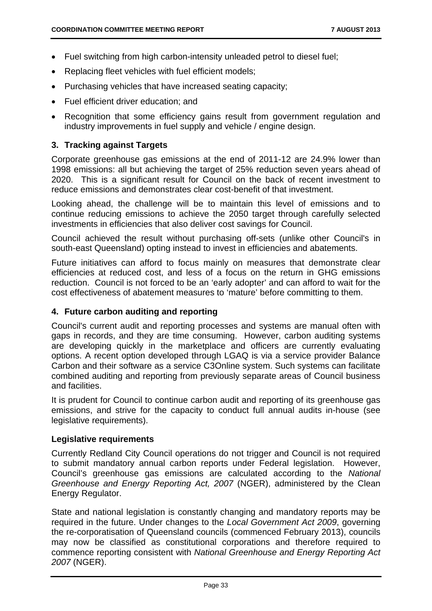- Fuel switching from high carbon-intensity unleaded petrol to diesel fuel;
- Replacing fleet vehicles with fuel efficient models;
- Purchasing vehicles that have increased seating capacity;
- Fuel efficient driver education; and
- Recognition that some efficiency gains result from government regulation and industry improvements in fuel supply and vehicle / engine design.

#### **3. Tracking against Targets**

Corporate greenhouse gas emissions at the end of 2011-12 are 24.9% lower than 1998 emissions: all but achieving the target of 25% reduction seven years ahead of 2020. This is a significant result for Council on the back of recent investment to reduce emissions and demonstrates clear cost-benefit of that investment.

Looking ahead, the challenge will be to maintain this level of emissions and to continue reducing emissions to achieve the 2050 target through carefully selected investments in efficiencies that also deliver cost savings for Council.

Council achieved the result without purchasing off-sets (unlike other Council's in south-east Queensland) opting instead to invest in efficiencies and abatements.

Future initiatives can afford to focus mainly on measures that demonstrate clear efficiencies at reduced cost, and less of a focus on the return in GHG emissions reduction. Council is not forced to be an 'early adopter' and can afford to wait for the cost effectiveness of abatement measures to 'mature' before committing to them.

#### **4. Future carbon auditing and reporting**

Council's current audit and reporting processes and systems are manual often with gaps in records, and they are time consuming. However, carbon auditing systems are developing quickly in the marketplace and officers are currently evaluating options. A recent option developed through LGAQ is via a service provider Balance Carbon and their software as a service C3Online system. Such systems can facilitate combined auditing and reporting from previously separate areas of Council business and facilities.

It is prudent for Council to continue carbon audit and reporting of its greenhouse gas emissions, and strive for the capacity to conduct full annual audits in-house (see legislative requirements).

#### **Legislative requirements**

Currently Redland City Council operations do not trigger and Council is not required to submit mandatory annual carbon reports under Federal legislation. However, Council's greenhouse gas emissions are calculated according to the *National Greenhouse and Energy Reporting Act, 2007* (NGER), administered by the Clean Energy Regulator.

State and national legislation is constantly changing and mandatory reports may be required in the future. Under changes to the *Local Government Act 2009*, governing the re-corporatisation of Queensland councils (commenced February 2013), councils may now be classified as constitutional corporations and therefore required to commence reporting consistent with *National Greenhouse and Energy Reporting Act 2007* (NGER).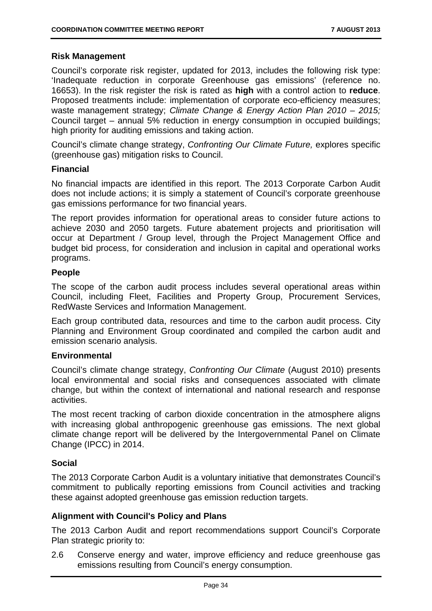#### **Risk Management**

Council's corporate risk register, updated for 2013, includes the following risk type: 'Inadequate reduction in corporate Greenhouse gas emissions' (reference no. 16653). In the risk register the risk is rated as **high** with a control action to **reduce**. Proposed treatments include: implementation of corporate eco-efficiency measures; waste management strategy; *Climate Change & Energy Action Plan 2010 – 2015;*  Council target – annual 5% reduction in energy consumption in occupied buildings; high priority for auditing emissions and taking action.

Council's climate change strategy, *Confronting Our Climate Future,* explores specific (greenhouse gas) mitigation risks to Council.

#### **Financial**

No financial impacts are identified in this report. The 2013 Corporate Carbon Audit does not include actions; it is simply a statement of Council's corporate greenhouse gas emissions performance for two financial years.

The report provides information for operational areas to consider future actions to achieve 2030 and 2050 targets. Future abatement projects and prioritisation will occur at Department / Group level, through the Project Management Office and budget bid process, for consideration and inclusion in capital and operational works programs.

#### **People**

The scope of the carbon audit process includes several operational areas within Council, including Fleet, Facilities and Property Group, Procurement Services, RedWaste Services and Information Management.

Each group contributed data, resources and time to the carbon audit process. City Planning and Environment Group coordinated and compiled the carbon audit and emission scenario analysis.

#### **Environmental**

Council's climate change strategy, *Confronting Our Climate* (August 2010) presents local environmental and social risks and consequences associated with climate change, but within the context of international and national research and response activities.

The most recent tracking of carbon dioxide concentration in the atmosphere aligns with increasing global anthropogenic greenhouse gas emissions. The next global climate change report will be delivered by the Intergovernmental Panel on Climate Change (IPCC) in 2014.

#### **Social**

The 2013 Corporate Carbon Audit is a voluntary initiative that demonstrates Council's commitment to publically reporting emissions from Council activities and tracking these against adopted greenhouse gas emission reduction targets.

#### **Alignment with Council's Policy and Plans**

The 2013 Carbon Audit and report recommendations support Council's Corporate Plan strategic priority to:

2.6 Conserve energy and water, improve efficiency and reduce greenhouse gas emissions resulting from Council's energy consumption.